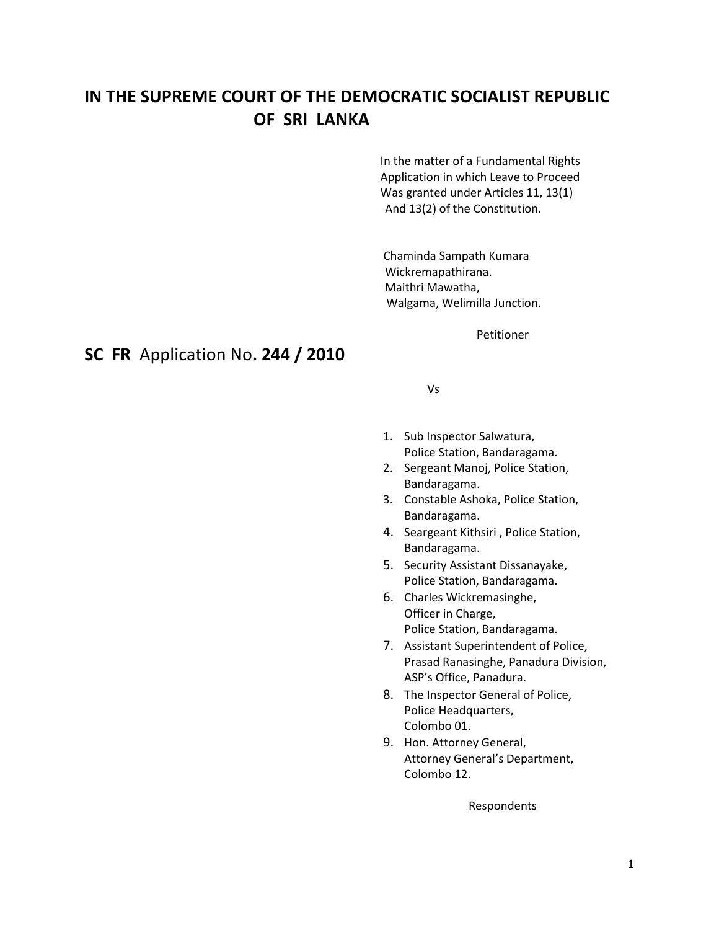# **IN THE SUPREME COURT OF THE DEMOCRATIC SOCIALIST REPUBLIC OF SRI LANKA**

In the matter of a Fundamental Rights Application in which Leave to Proceed Was granted under Articles 11, 13(1) And 13(2) of the Constitution.

Chaminda Sampath Kumara Wickremapathirana. Maithri Mawatha, Walgama, Welimilla Junction.

Petitioner

#### **SC FR** Application No**. 244 / 2010**

Vs

- 1. Sub Inspector Salwatura, Police Station, Bandaragama.
- 2. Sergeant Manoj, Police Station, Bandaragama.
- 3. Constable Ashoka, Police Station, Bandaragama.
- 4. Seargeant Kithsiri , Police Station, Bandaragama.
- 5. Security Assistant Dissanayake, Police Station, Bandaragama.
- 6. Charles Wickremasinghe, Officer in Charge, Police Station, Bandaragama.
- 7. Assistant Superintendent of Police, Prasad Ranasinghe, Panadura Division, ASP's Office, Panadura.
- 8. The Inspector General of Police, Police Headquarters, Colombo 01.
- 9. Hon. Attorney General, Attorney General's Department, Colombo 12.

Respondents

#### 1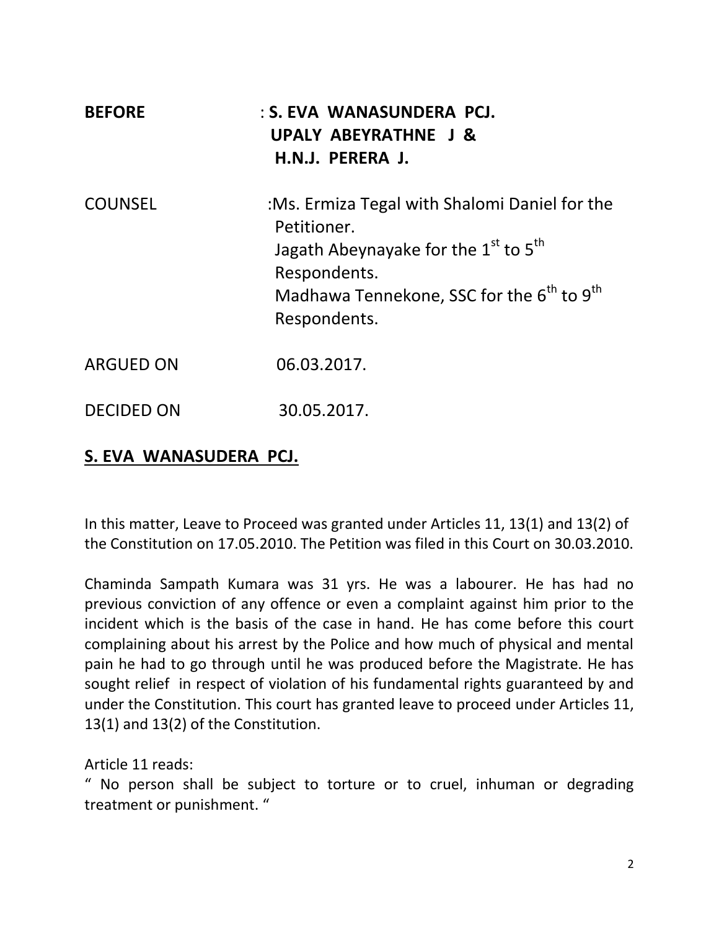| <b>BEFORE</b>     | : S. EVA WANASUNDERA PCJ.<br>UPALY ABEYRATHNE J &<br>H.N.J. PERERA J.                                                                                                                                               |
|-------------------|---------------------------------------------------------------------------------------------------------------------------------------------------------------------------------------------------------------------|
| <b>COUNSEL</b>    | :Ms. Ermiza Tegal with Shalomi Daniel for the<br>Petitioner.<br>Jagath Abeynayake for the $1^{st}$ to $5^{th}$<br>Respondents.<br>Madhawa Tennekone, SSC for the 6 <sup>th</sup> to 9 <sup>th</sup><br>Respondents. |
| <b>ARGUED ON</b>  | 06.03.2017.                                                                                                                                                                                                         |
| <b>DECIDED ON</b> | 30.05.2017.                                                                                                                                                                                                         |

## **S. EVA WANASUDERA PCJ.**

In this matter, Leave to Proceed was granted under Articles 11, 13(1) and 13(2) of the Constitution on 17.05.2010. The Petition was filed in this Court on 30.03.2010.

Chaminda Sampath Kumara was 31 yrs. He was a labourer. He has had no previous conviction of any offence or even a complaint against him prior to the incident which is the basis of the case in hand. He has come before this court complaining about his arrest by the Police and how much of physical and mental pain he had to go through until he was produced before the Magistrate. He has sought relief in respect of violation of his fundamental rights guaranteed by and under the Constitution. This court has granted leave to proceed under Articles 11, 13(1) and 13(2) of the Constitution.

Article 11 reads:

" No person shall be subject to torture or to cruel, inhuman or degrading treatment or punishment. "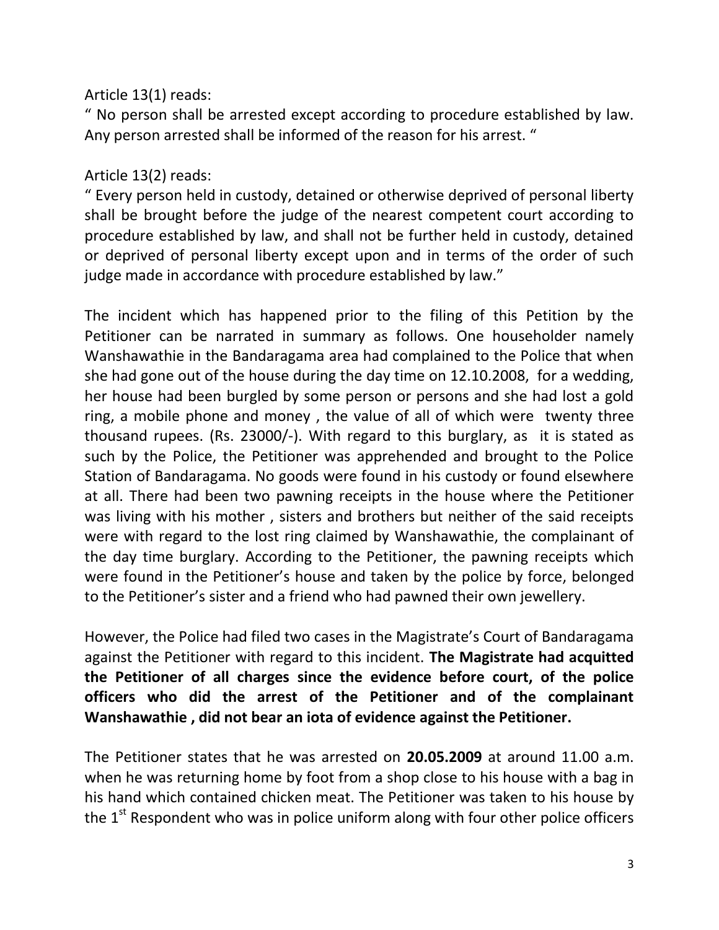## Article 13(1) reads:

" No person shall be arrested except according to procedure established by law. Any person arrested shall be informed of the reason for his arrest. "

## Article 13(2) reads:

" Every person held in custody, detained or otherwise deprived of personal liberty shall be brought before the judge of the nearest competent court according to procedure established by law, and shall not be further held in custody, detained or deprived of personal liberty except upon and in terms of the order of such judge made in accordance with procedure established by law."

The incident which has happened prior to the filing of this Petition by the Petitioner can be narrated in summary as follows. One householder namely Wanshawathie in the Bandaragama area had complained to the Police that when she had gone out of the house during the day time on 12.10.2008, for a wedding, her house had been burgled by some person or persons and she had lost a gold ring, a mobile phone and money , the value of all of which were twenty three thousand rupees. (Rs. 23000/-). With regard to this burglary, as it is stated as such by the Police, the Petitioner was apprehended and brought to the Police Station of Bandaragama. No goods were found in his custody or found elsewhere at all. There had been two pawning receipts in the house where the Petitioner was living with his mother , sisters and brothers but neither of the said receipts were with regard to the lost ring claimed by Wanshawathie, the complainant of the day time burglary. According to the Petitioner, the pawning receipts which were found in the Petitioner's house and taken by the police by force, belonged to the Petitioner's sister and a friend who had pawned their own jewellery.

However, the Police had filed two cases in the Magistrate's Court of Bandaragama against the Petitioner with regard to this incident. **The Magistrate had acquitted the Petitioner of all charges since the evidence before court, of the police officers who did the arrest of the Petitioner and of the complainant Wanshawathie , did not bear an iota of evidence against the Petitioner.**

The Petitioner states that he was arrested on **20.05.2009** at around 11.00 a.m. when he was returning home by foot from a shop close to his house with a bag in his hand which contained chicken meat. The Petitioner was taken to his house by the  $1<sup>st</sup>$  Respondent who was in police uniform along with four other police officers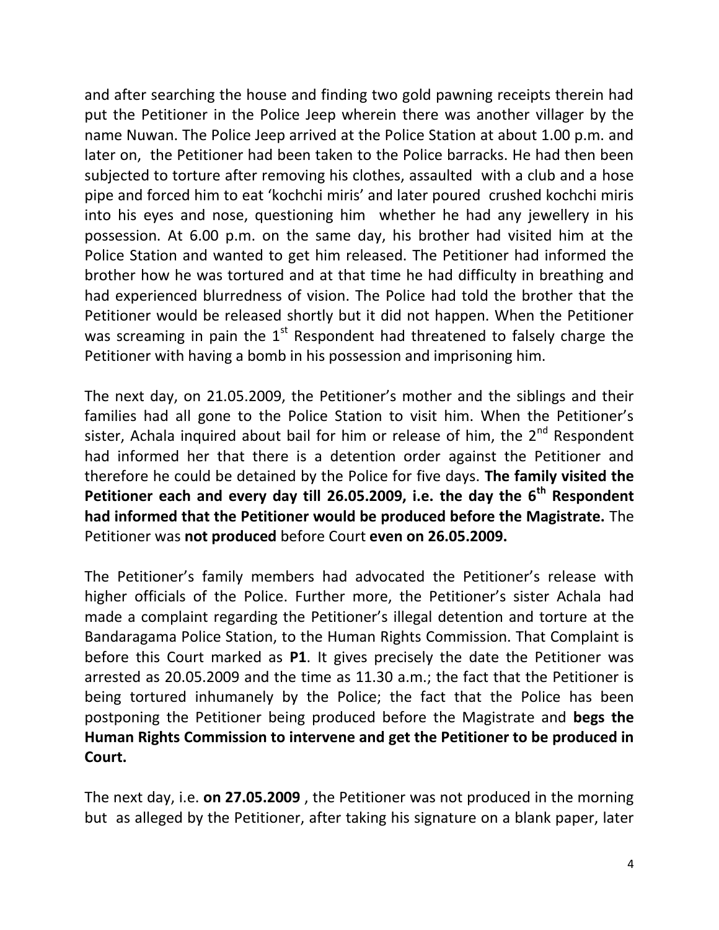and after searching the house and finding two gold pawning receipts therein had put the Petitioner in the Police Jeep wherein there was another villager by the name Nuwan. The Police Jeep arrived at the Police Station at about 1.00 p.m. and later on, the Petitioner had been taken to the Police barracks. He had then been subjected to torture after removing his clothes, assaulted with a club and a hose pipe and forced him to eat 'kochchi miris' and later poured crushed kochchi miris into his eyes and nose, questioning him whether he had any jewellery in his possession. At 6.00 p.m. on the same day, his brother had visited him at the Police Station and wanted to get him released. The Petitioner had informed the brother how he was tortured and at that time he had difficulty in breathing and had experienced blurredness of vision. The Police had told the brother that the Petitioner would be released shortly but it did not happen. When the Petitioner was screaming in pain the  $1<sup>st</sup>$  Respondent had threatened to falsely charge the Petitioner with having a bomb in his possession and imprisoning him.

The next day, on 21.05.2009, the Petitioner's mother and the siblings and their families had all gone to the Police Station to visit him. When the Petitioner's sister, Achala inquired about bail for him or release of him, the  $2<sup>nd</sup>$  Respondent had informed her that there is a detention order against the Petitioner and therefore he could be detained by the Police for five days. **The family visited the Petitioner each and every day till 26.05.2009, i.e. the day the 6th Respondent had informed that the Petitioner would be produced before the Magistrate.** The Petitioner was **not produced** before Court **even on 26.05.2009.**

The Petitioner's family members had advocated the Petitioner's release with higher officials of the Police. Further more, the Petitioner's sister Achala had made a complaint regarding the Petitioner's illegal detention and torture at the Bandaragama Police Station, to the Human Rights Commission. That Complaint is before this Court marked as **P1**. It gives precisely the date the Petitioner was arrested as 20.05.2009 and the time as 11.30 a.m.; the fact that the Petitioner is being tortured inhumanely by the Police; the fact that the Police has been postponing the Petitioner being produced before the Magistrate and **begs the Human Rights Commission to intervene and get the Petitioner to be produced in Court.**

The next day, i.e. **on 27.05.2009** , the Petitioner was not produced in the morning but as alleged by the Petitioner, after taking his signature on a blank paper, later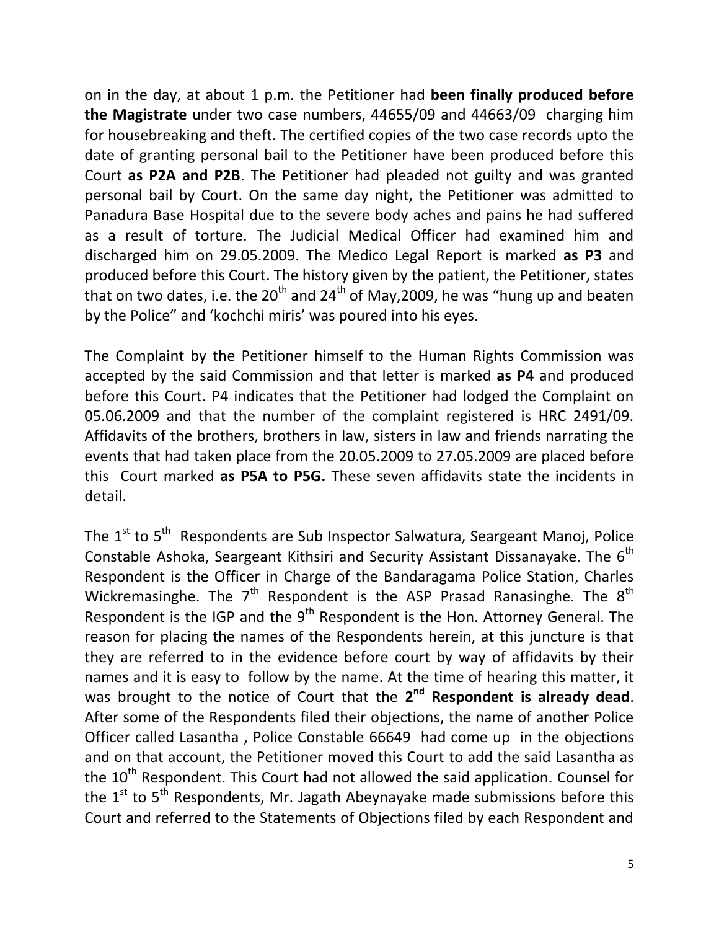on in the day, at about 1 p.m. the Petitioner had **been finally produced before the Magistrate** under two case numbers, 44655/09 and 44663/09 charging him for housebreaking and theft. The certified copies of the two case records upto the date of granting personal bail to the Petitioner have been produced before this Court **as P2A and P2B**. The Petitioner had pleaded not guilty and was granted personal bail by Court. On the same day night, the Petitioner was admitted to Panadura Base Hospital due to the severe body aches and pains he had suffered as a result of torture. The Judicial Medical Officer had examined him and discharged him on 29.05.2009. The Medico Legal Report is marked **as P3** and produced before this Court. The history given by the patient, the Petitioner, states that on two dates, i.e. the 20<sup>th</sup> and 24<sup>th</sup> of May, 2009, he was "hung up and beaten by the Police" and 'kochchi miris' was poured into his eyes.

The Complaint by the Petitioner himself to the Human Rights Commission was accepted by the said Commission and that letter is marked **as P4** and produced before this Court. P4 indicates that the Petitioner had lodged the Complaint on 05.06.2009 and that the number of the complaint registered is HRC 2491/09. Affidavits of the brothers, brothers in law, sisters in law and friends narrating the events that had taken place from the 20.05.2009 to 27.05.2009 are placed before this Court marked **as P5A to P5G.** These seven affidavits state the incidents in detail.

The  $1<sup>st</sup>$  to  $5<sup>th</sup>$  Respondents are Sub Inspector Salwatura, Seargeant Manoj, Police Constable Ashoka, Seargeant Kithsiri and Security Assistant Dissanayake. The 6<sup>th</sup> Respondent is the Officer in Charge of the Bandaragama Police Station, Charles Wickremasinghe. The  $7<sup>th</sup>$  Respondent is the ASP Prasad Ranasinghe. The  $8<sup>th</sup>$ Respondent is the IGP and the  $9<sup>th</sup>$  Respondent is the Hon. Attorney General. The reason for placing the names of the Respondents herein, at this juncture is that they are referred to in the evidence before court by way of affidavits by their names and it is easy to follow by the name. At the time of hearing this matter, it was brought to the notice of Court that the 2<sup>nd</sup> Respondent is already dead. After some of the Respondents filed their objections, the name of another Police Officer called Lasantha , Police Constable 66649 had come up in the objections and on that account, the Petitioner moved this Court to add the said Lasantha as the 10<sup>th</sup> Respondent. This Court had not allowed the said application. Counsel for the  $1<sup>st</sup>$  to  $5<sup>th</sup>$  Respondents, Mr. Jagath Abeynayake made submissions before this Court and referred to the Statements of Objections filed by each Respondent and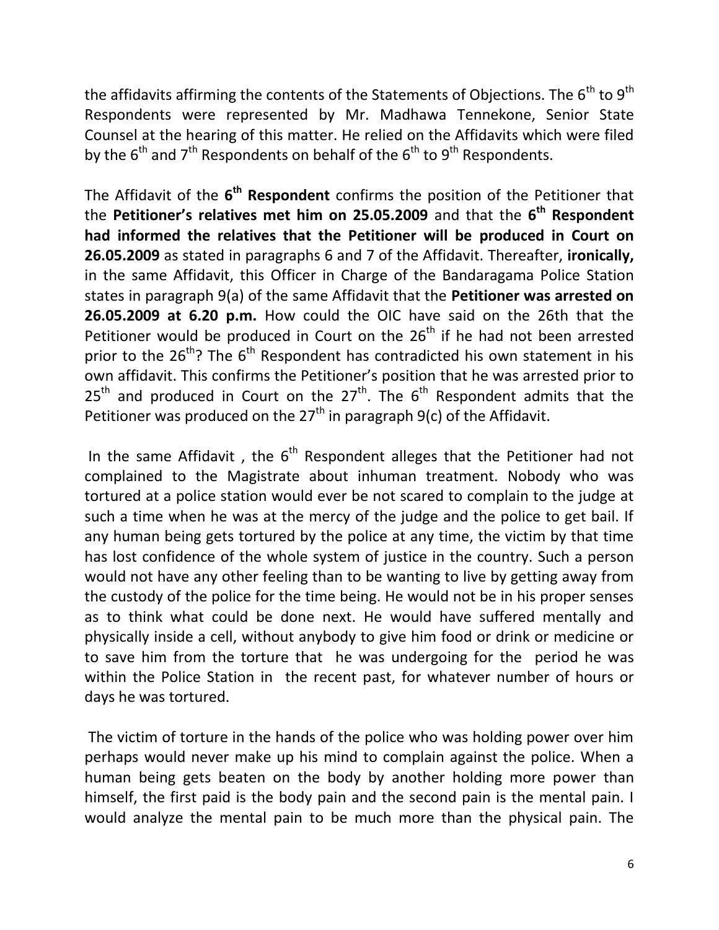the affidavits affirming the contents of the Statements of Objections. The  $6<sup>th</sup>$  to  $9<sup>th</sup>$ Respondents were represented by Mr. Madhawa Tennekone, Senior State Counsel at the hearing of this matter. He relied on the Affidavits which were filed by the  $6<sup>th</sup>$  and  $7<sup>th</sup>$  Respondents on behalf of the  $6<sup>th</sup>$  to  $9<sup>th</sup>$  Respondents.

The Affidavit of the  $6<sup>th</sup>$  Respondent confirms the position of the Petitioner that the **Petitioner's relatives met him on 25.05.2009** and that the **6 th Respondent had informed the relatives that the Petitioner will be produced in Court on 26.05.2009** as stated in paragraphs 6 and 7 of the Affidavit. Thereafter, **ironically,** in the same Affidavit, this Officer in Charge of the Bandaragama Police Station states in paragraph 9(a) of the same Affidavit that the **Petitioner was arrested on 26.05.2009 at 6.20 p.m.** How could the OIC have said on the 26th that the Petitioner would be produced in Court on the  $26<sup>th</sup>$  if he had not been arrested prior to the  $26^{th}$ ? The  $6^{th}$  Respondent has contradicted his own statement in his own affidavit. This confirms the Petitioner's position that he was arrested prior to  $25<sup>th</sup>$  and produced in Court on the  $27<sup>th</sup>$ . The  $6<sup>th</sup>$  Respondent admits that the Petitioner was produced on the  $27<sup>th</sup>$  in paragraph 9(c) of the Affidavit.

In the same Affidavit, the  $6<sup>th</sup>$  Respondent alleges that the Petitioner had not complained to the Magistrate about inhuman treatment. Nobody who was tortured at a police station would ever be not scared to complain to the judge at such a time when he was at the mercy of the judge and the police to get bail. If any human being gets tortured by the police at any time, the victim by that time has lost confidence of the whole system of justice in the country. Such a person would not have any other feeling than to be wanting to live by getting away from the custody of the police for the time being. He would not be in his proper senses as to think what could be done next. He would have suffered mentally and physically inside a cell, without anybody to give him food or drink or medicine or to save him from the torture that he was undergoing for the period he was within the Police Station in the recent past, for whatever number of hours or days he was tortured.

The victim of torture in the hands of the police who was holding power over him perhaps would never make up his mind to complain against the police. When a human being gets beaten on the body by another holding more power than himself, the first paid is the body pain and the second pain is the mental pain. I would analyze the mental pain to be much more than the physical pain. The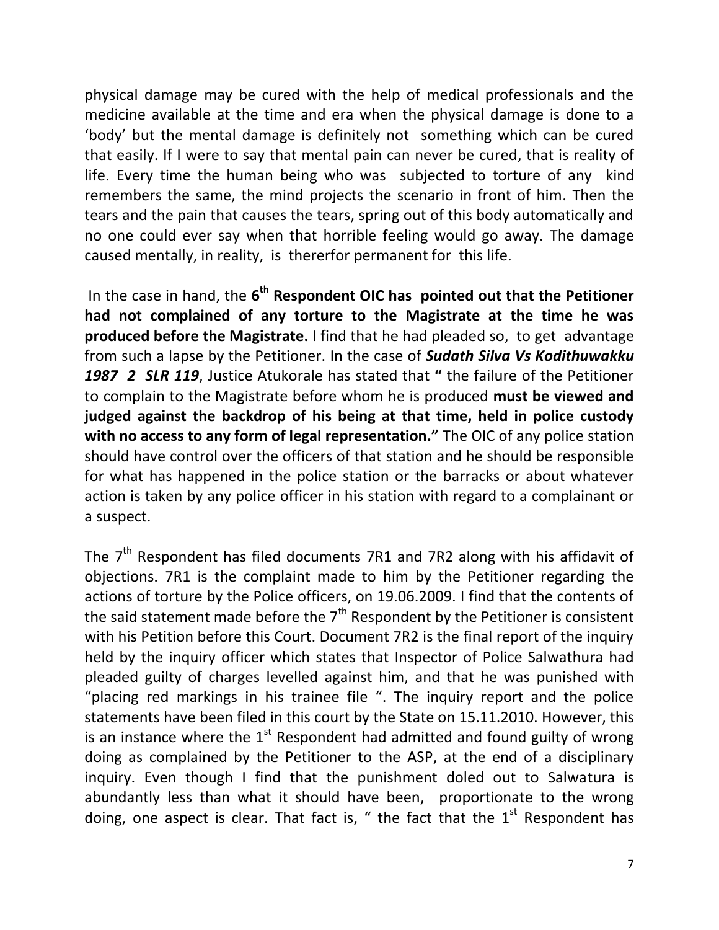physical damage may be cured with the help of medical professionals and the medicine available at the time and era when the physical damage is done to a 'body' but the mental damage is definitely not something which can be cured that easily. If I were to say that mental pain can never be cured, that is reality of life. Every time the human being who was subjected to torture of any kind remembers the same, the mind projects the scenario in front of him. Then the tears and the pain that causes the tears, spring out of this body automatically and no one could ever say when that horrible feeling would go away. The damage caused mentally, in reality, is thererfor permanent for this life.

In the case in hand, the 6<sup>th</sup> Respondent OIC has pointed out that the Petitioner **had not complained of any torture to the Magistrate at the time he was produced before the Magistrate.** I find that he had pleaded so, to get advantage from such a lapse by the Petitioner. In the case of *Sudath Silva Vs Kodithuwakku 1987 2 SLR 119*, Justice Atukorale has stated that **"** the failure of the Petitioner to complain to the Magistrate before whom he is produced **must be viewed and judged against the backdrop of his being at that time, held in police custody with no access to any form of legal representation."** The OIC of any police station should have control over the officers of that station and he should be responsible for what has happened in the police station or the barracks or about whatever action is taken by any police officer in his station with regard to a complainant or a suspect.

The  $7<sup>th</sup>$  Respondent has filed documents 7R1 and 7R2 along with his affidavit of objections. 7R1 is the complaint made to him by the Petitioner regarding the actions of torture by the Police officers, on 19.06.2009. I find that the contents of the said statement made before the  $7<sup>th</sup>$  Respondent by the Petitioner is consistent with his Petition before this Court. Document 7R2 is the final report of the inquiry held by the inquiry officer which states that Inspector of Police Salwathura had pleaded guilty of charges levelled against him, and that he was punished with "placing red markings in his trainee file ". The inquiry report and the police statements have been filed in this court by the State on 15.11.2010. However, this is an instance where the  $1<sup>st</sup>$  Respondent had admitted and found guilty of wrong doing as complained by the Petitioner to the ASP, at the end of a disciplinary inquiry. Even though I find that the punishment doled out to Salwatura is abundantly less than what it should have been, proportionate to the wrong doing, one aspect is clear. That fact is, " the fact that the  $1<sup>st</sup>$  Respondent has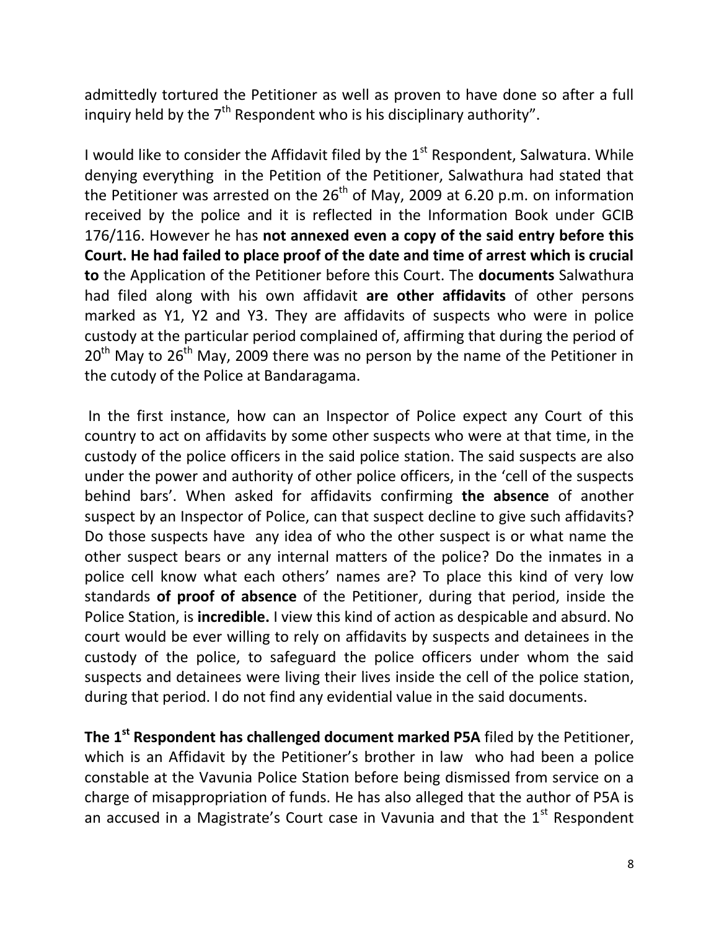admittedly tortured the Petitioner as well as proven to have done so after a full inquiry held by the  $7<sup>th</sup>$  Respondent who is his disciplinary authority".

I would like to consider the Affidavit filed by the  $1<sup>st</sup>$  Respondent, Salwatura. While denying everything in the Petition of the Petitioner, Salwathura had stated that the Petitioner was arrested on the  $26<sup>th</sup>$  of May, 2009 at 6.20 p.m. on information received by the police and it is reflected in the Information Book under GCIB 176/116. However he has **not annexed even a copy of the said entry before this Court. He had failed to place proof of the date and time of arrest which is crucial to** the Application of the Petitioner before this Court. The **documents** Salwathura had filed along with his own affidavit **are other affidavits** of other persons marked as Y1, Y2 and Y3. They are affidavits of suspects who were in police custody at the particular period complained of, affirming that during the period of  $20<sup>th</sup>$  May to  $26<sup>th</sup>$  May, 2009 there was no person by the name of the Petitioner in the cutody of the Police at Bandaragama.

In the first instance, how can an Inspector of Police expect any Court of this country to act on affidavits by some other suspects who were at that time, in the custody of the police officers in the said police station. The said suspects are also under the power and authority of other police officers, in the 'cell of the suspects behind bars'. When asked for affidavits confirming **the absence** of another suspect by an Inspector of Police, can that suspect decline to give such affidavits? Do those suspects have any idea of who the other suspect is or what name the other suspect bears or any internal matters of the police? Do the inmates in a police cell know what each others' names are? To place this kind of very low standards **of proof of absence** of the Petitioner, during that period, inside the Police Station, is **incredible.** I view this kind of action as despicable and absurd. No court would be ever willing to rely on affidavits by suspects and detainees in the custody of the police, to safeguard the police officers under whom the said suspects and detainees were living their lives inside the cell of the police station, during that period. I do not find any evidential value in the said documents.

**The 1st Respondent has challenged document marked P5A** filed by the Petitioner, which is an Affidavit by the Petitioner's brother in law who had been a police constable at the Vavunia Police Station before being dismissed from service on a charge of misappropriation of funds. He has also alleged that the author of P5A is an accused in a Magistrate's Court case in Vavunia and that the  $1<sup>st</sup>$  Respondent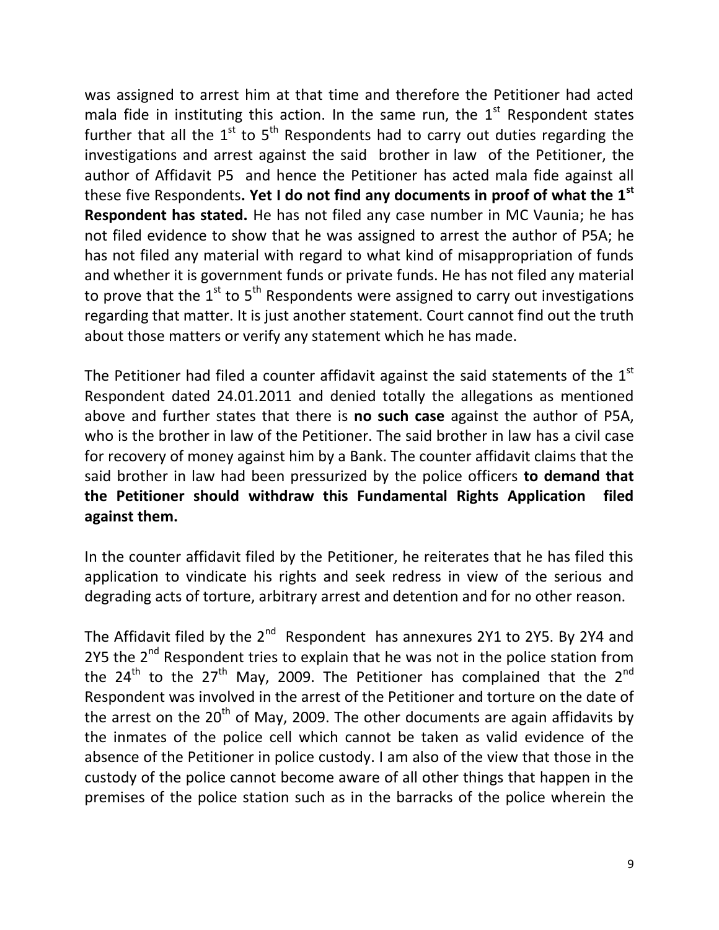was assigned to arrest him at that time and therefore the Petitioner had acted mala fide in instituting this action. In the same run, the  $1<sup>st</sup>$  Respondent states further that all the  $1^{st}$  to  $5^{th}$  Respondents had to carry out duties regarding the investigations and arrest against the said brother in law of the Petitioner, the author of Affidavit P5 and hence the Petitioner has acted mala fide against all these five Respondents**. Yet I do not find any documents in proof of what the 1st Respondent has stated.** He has not filed any case number in MC Vaunia; he has not filed evidence to show that he was assigned to arrest the author of P5A; he has not filed any material with regard to what kind of misappropriation of funds and whether it is government funds or private funds. He has not filed any material to prove that the  $1<sup>st</sup>$  to  $5<sup>th</sup>$  Respondents were assigned to carry out investigations regarding that matter. It is just another statement. Court cannot find out the truth about those matters or verify any statement which he has made.

The Petitioner had filed a counter affidavit against the said statements of the  $1<sup>st</sup>$ Respondent dated 24.01.2011 and denied totally the allegations as mentioned above and further states that there is **no such case** against the author of P5A, who is the brother in law of the Petitioner. The said brother in law has a civil case for recovery of money against him by a Bank. The counter affidavit claims that the said brother in law had been pressurized by the police officers **to demand that the Petitioner should withdraw this Fundamental Rights Application filed against them.** 

In the counter affidavit filed by the Petitioner, he reiterates that he has filed this application to vindicate his rights and seek redress in view of the serious and degrading acts of torture, arbitrary arrest and detention and for no other reason.

The Affidavit filed by the 2<sup>nd</sup> Respondent has annexures 2Y1 to 2Y5. By 2Y4 and 2Y5 the  $2^{nd}$  Respondent tries to explain that he was not in the police station from the  $24<sup>th</sup>$  to the  $27<sup>th</sup>$  May, 2009. The Petitioner has complained that the  $2<sup>nd</sup>$ Respondent was involved in the arrest of the Petitioner and torture on the date of the arrest on the  $20<sup>th</sup>$  of May, 2009. The other documents are again affidavits by the inmates of the police cell which cannot be taken as valid evidence of the absence of the Petitioner in police custody. I am also of the view that those in the custody of the police cannot become aware of all other things that happen in the premises of the police station such as in the barracks of the police wherein the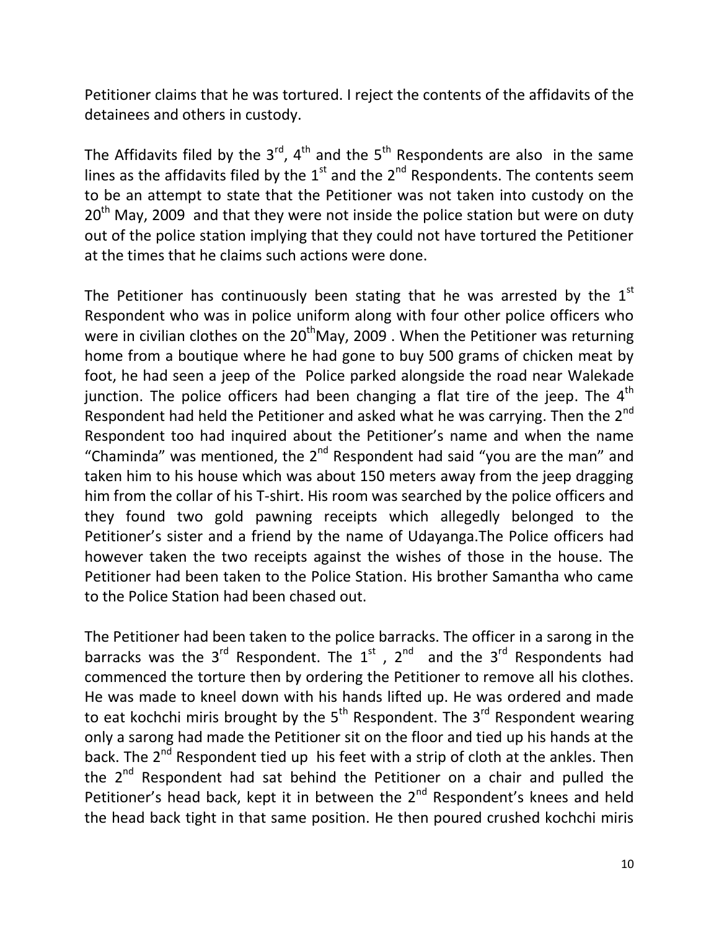Petitioner claims that he was tortured. I reject the contents of the affidavits of the detainees and others in custody.

The Affidavits filed by the  $3^{rd}$ ,  $4^{th}$  and the  $5^{th}$  Respondents are also in the same lines as the affidavits filed by the  $1<sup>st</sup>$  and the  $2<sup>nd</sup>$  Respondents. The contents seem to be an attempt to state that the Petitioner was not taken into custody on the  $20<sup>th</sup>$  May, 2009 and that they were not inside the police station but were on duty out of the police station implying that they could not have tortured the Petitioner at the times that he claims such actions were done.

The Petitioner has continuously been stating that he was arrested by the  $1<sup>st</sup>$ Respondent who was in police uniform along with four other police officers who were in civilian clothes on the  $20<sup>th</sup>$ May, 2009 . When the Petitioner was returning home from a boutique where he had gone to buy 500 grams of chicken meat by foot, he had seen a jeep of the Police parked alongside the road near Walekade junction. The police officers had been changing a flat tire of the jeep. The  $4<sup>th</sup>$ Respondent had held the Petitioner and asked what he was carrying. Then the 2<sup>nd</sup> Respondent too had inquired about the Petitioner's name and when the name "Chaminda" was mentioned, the  $2<sup>nd</sup>$  Respondent had said "you are the man" and taken him to his house which was about 150 meters away from the jeep dragging him from the collar of his T-shirt. His room was searched by the police officers and they found two gold pawning receipts which allegedly belonged to the Petitioner's sister and a friend by the name of Udayanga.The Police officers had however taken the two receipts against the wishes of those in the house. The Petitioner had been taken to the Police Station. His brother Samantha who came to the Police Station had been chased out.

The Petitioner had been taken to the police barracks. The officer in a sarong in the barracks was the 3<sup>rd</sup> Respondent. The  $1^{st}$ ,  $2^{nd}$  and the 3<sup>rd</sup> Respondents had commenced the torture then by ordering the Petitioner to remove all his clothes. He was made to kneel down with his hands lifted up. He was ordered and made to eat kochchi miris brought by the  $5<sup>th</sup>$  Respondent. The  $3<sup>rd</sup>$  Respondent wearing only a sarong had made the Petitioner sit on the floor and tied up his hands at the back. The 2<sup>nd</sup> Respondent tied up his feet with a strip of cloth at the ankles. Then the  $2^{nd}$  Respondent had sat behind the Petitioner on a chair and pulled the Petitioner's head back, kept it in between the 2<sup>nd</sup> Respondent's knees and held the head back tight in that same position. He then poured crushed kochchi miris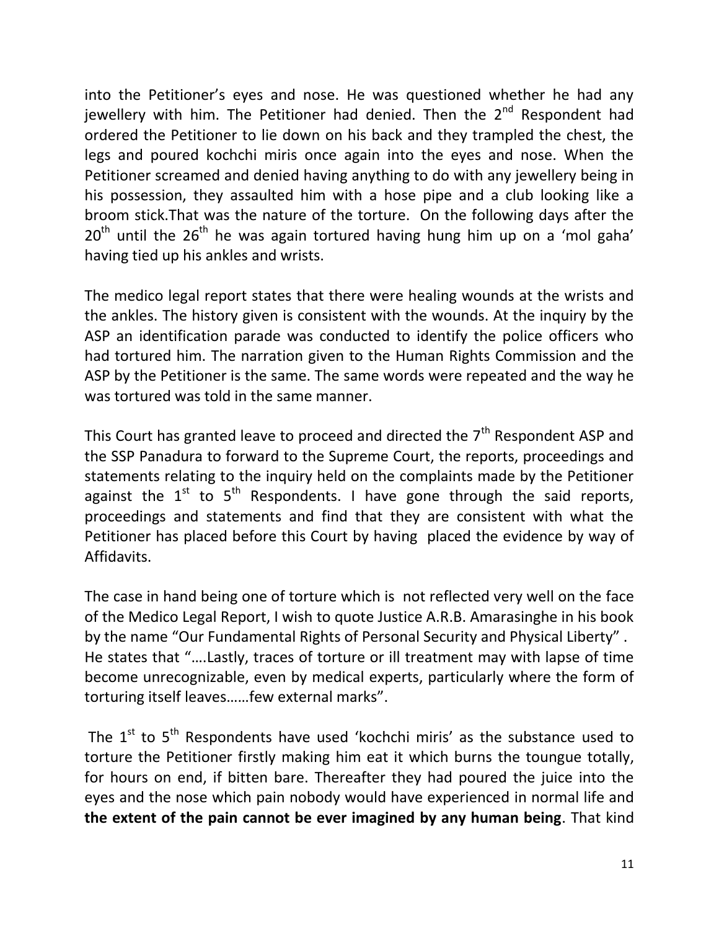into the Petitioner's eyes and nose. He was questioned whether he had any jewellery with him. The Petitioner had denied. Then the  $2<sup>nd</sup>$  Respondent had ordered the Petitioner to lie down on his back and they trampled the chest, the legs and poured kochchi miris once again into the eyes and nose. When the Petitioner screamed and denied having anything to do with any jewellery being in his possession, they assaulted him with a hose pipe and a club looking like a broom stick.That was the nature of the torture. On the following days after the  $20<sup>th</sup>$  until the  $26<sup>th</sup>$  he was again tortured having hung him up on a 'mol gaha' having tied up his ankles and wrists.

The medico legal report states that there were healing wounds at the wrists and the ankles. The history given is consistent with the wounds. At the inquiry by the ASP an identification parade was conducted to identify the police officers who had tortured him. The narration given to the Human Rights Commission and the ASP by the Petitioner is the same. The same words were repeated and the way he was tortured was told in the same manner.

This Court has granted leave to proceed and directed the  $7<sup>th</sup>$  Respondent ASP and the SSP Panadura to forward to the Supreme Court, the reports, proceedings and statements relating to the inquiry held on the complaints made by the Petitioner against the  $1<sup>st</sup>$  to  $5<sup>th</sup>$  Respondents. I have gone through the said reports, proceedings and statements and find that they are consistent with what the Petitioner has placed before this Court by having placed the evidence by way of Affidavits.

The case in hand being one of torture which is not reflected very well on the face of the Medico Legal Report, I wish to quote Justice A.R.B. Amarasinghe in his book by the name "Our Fundamental Rights of Personal Security and Physical Liberty" . He states that "….Lastly, traces of torture or ill treatment may with lapse of time become unrecognizable, even by medical experts, particularly where the form of torturing itself leaves……few external marks".

The  $1^{st}$  to  $5^{th}$  Respondents have used 'kochchi miris' as the substance used to torture the Petitioner firstly making him eat it which burns the toungue totally, for hours on end, if bitten bare. Thereafter they had poured the juice into the eyes and the nose which pain nobody would have experienced in normal life and **the extent of the pain cannot be ever imagined by any human being**. That kind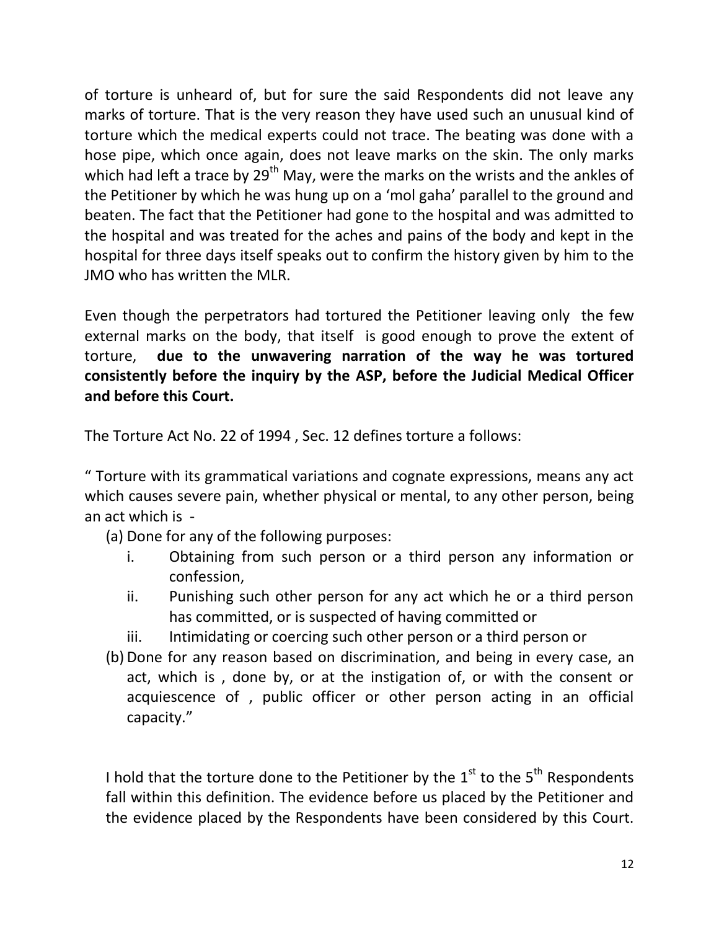of torture is unheard of, but for sure the said Respondents did not leave any marks of torture. That is the very reason they have used such an unusual kind of torture which the medical experts could not trace. The beating was done with a hose pipe, which once again, does not leave marks on the skin. The only marks which had left a trace by  $29<sup>th</sup>$  May, were the marks on the wrists and the ankles of the Petitioner by which he was hung up on a 'mol gaha' parallel to the ground and beaten. The fact that the Petitioner had gone to the hospital and was admitted to the hospital and was treated for the aches and pains of the body and kept in the hospital for three days itself speaks out to confirm the history given by him to the JMO who has written the MLR.

Even though the perpetrators had tortured the Petitioner leaving only the few external marks on the body, that itself is good enough to prove the extent of torture, **due to the unwavering narration of the way he was tortured consistently before the inquiry by the ASP, before the Judicial Medical Officer and before this Court.** 

The Torture Act No. 22 of 1994 , Sec. 12 defines torture a follows:

" Torture with its grammatical variations and cognate expressions, means any act which causes severe pain, whether physical or mental, to any other person, being an act which is -

- (a) Done for any of the following purposes:
	- i. Obtaining from such person or a third person any information or confession,
	- ii. Punishing such other person for any act which he or a third person has committed, or is suspected of having committed or
	- iii. Intimidating or coercing such other person or a third person or
- (b) Done for any reason based on discrimination, and being in every case, an act, which is , done by, or at the instigation of, or with the consent or acquiescence of , public officer or other person acting in an official capacity."

I hold that the torture done to the Petitioner by the  $1<sup>st</sup>$  to the  $5<sup>th</sup>$  Respondents fall within this definition. The evidence before us placed by the Petitioner and the evidence placed by the Respondents have been considered by this Court.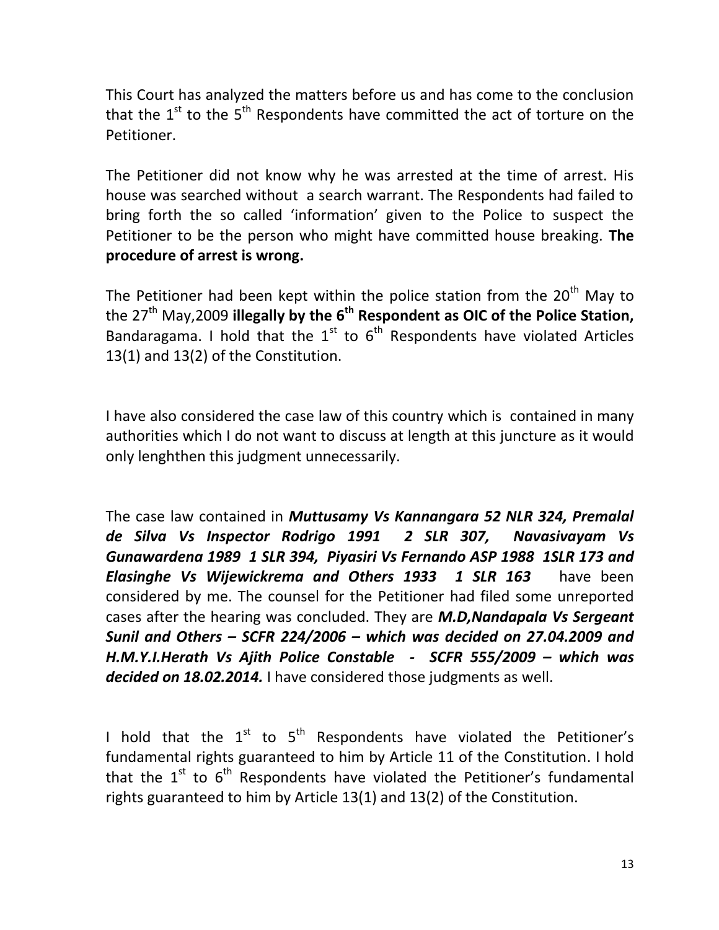This Court has analyzed the matters before us and has come to the conclusion that the  $1^{st}$  to the  $5^{th}$  Respondents have committed the act of torture on the Petitioner.

The Petitioner did not know why he was arrested at the time of arrest. His house was searched without a search warrant. The Respondents had failed to bring forth the so called 'information' given to the Police to suspect the Petitioner to be the person who might have committed house breaking. **The procedure of arrest is wrong.**

The Petitioner had been kept within the police station from the  $20<sup>th</sup>$  May to the 27th May,2009 **illegally by the 6th Respondent as OIC of the Police Station,** Bandaragama. I hold that the  $1^{st}$  to  $6^{th}$  Respondents have violated Articles 13(1) and 13(2) of the Constitution.

I have also considered the case law of this country which is contained in many authorities which I do not want to discuss at length at this juncture as it would only lenghthen this judgment unnecessarily.

The case law contained in *Muttusamy Vs Kannangara 52 NLR 324, Premalal de Silva Vs Inspector Rodrigo 1991 2 SLR 307, Navasivayam Vs Gunawardena 1989 1 SLR 394, Piyasiri Vs Fernando ASP 1988 1SLR 173 and Elasinghe Vs Wijewickrema and Others 1933 1 SLR 163* have been considered by me. The counsel for the Petitioner had filed some unreported cases after the hearing was concluded. They are *M.D,Nandapala Vs Sergeant Sunil and Others – SCFR 224/2006 – which was decided on 27.04.2009 and H.M.Y.I.Herath Vs Ajith Police Constable - SCFR 555/2009 – which was decided on 18.02.2014.* I have considered those judgments as well.

I hold that the  $1^{st}$  to  $5^{th}$  Respondents have violated the Petitioner's fundamental rights guaranteed to him by Article 11 of the Constitution. I hold that the  $1^{st}$  to  $6^{th}$  Respondents have violated the Petitioner's fundamental rights guaranteed to him by Article 13(1) and 13(2) of the Constitution.